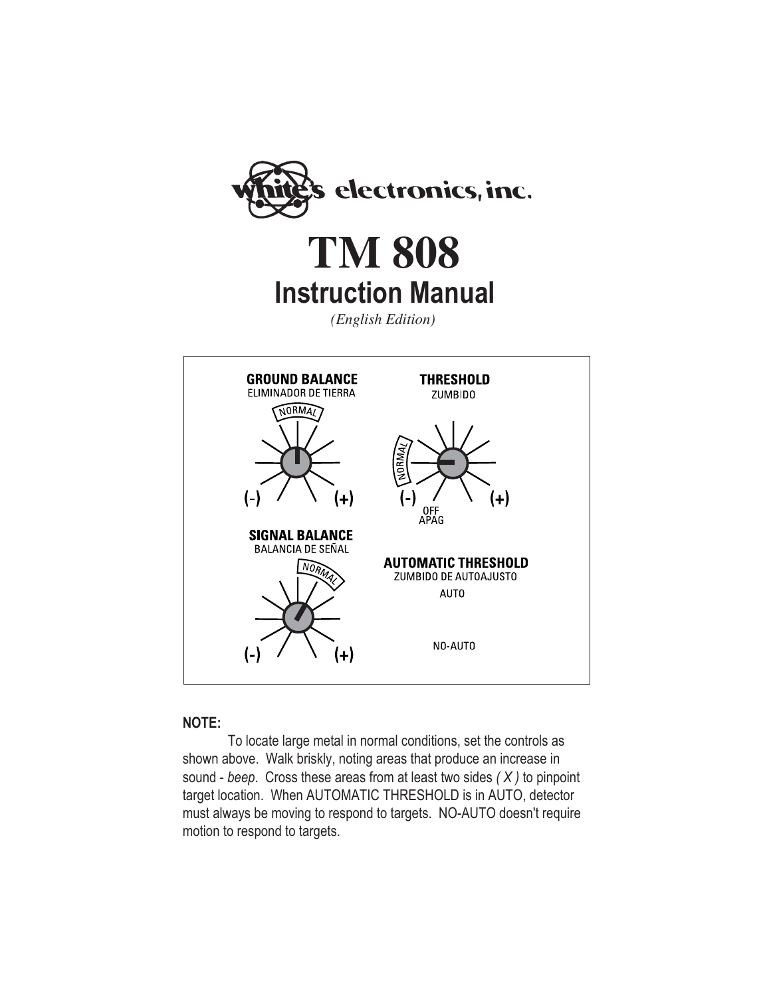

**Instruction Manual TM 808**

*(English Edition)*



#### **NOTE:**

To locate large metal in normal conditions, set the controls as shown above. Walk briskly, noting areas that produce an increase in sound - *beep*. Cross these areas from at least two sides *( X )* to pinpoint target location. When AUTOMATIC THRESHOLD is in AUTO, detector must always be moving to respond to targets. NO-AUTO doesn't require motion to respond to targets.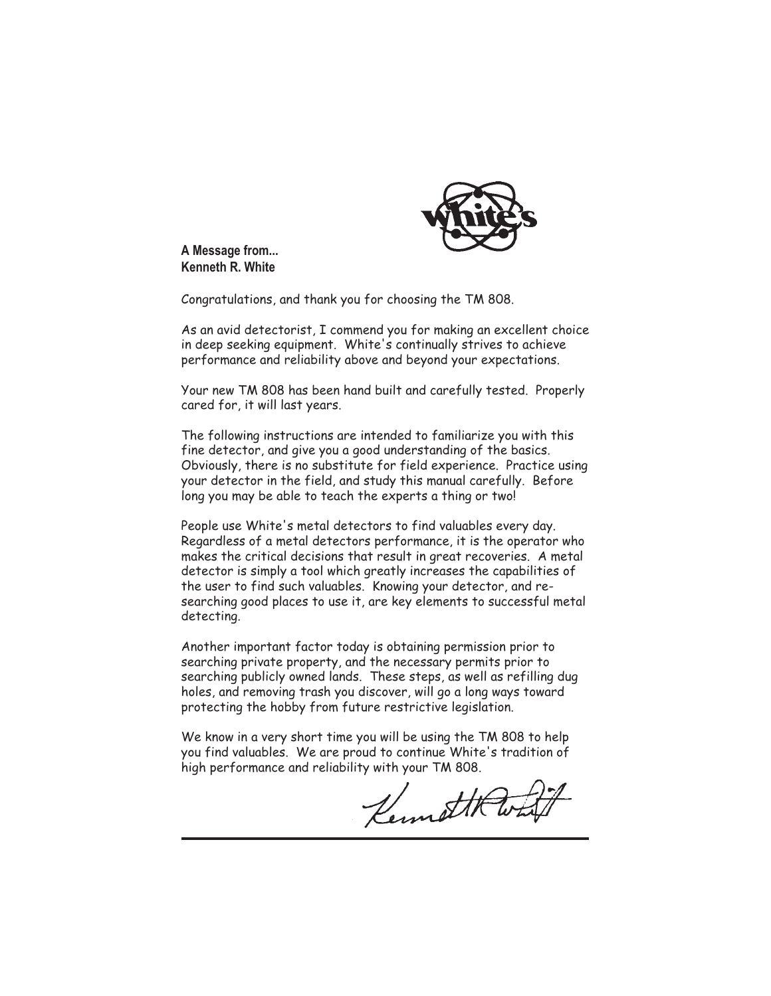

**A Message from... Kenneth R. White**

Congratulations, and thank you for choosing the TM 808.

As an avid detectorist, I commend you for making an excellent choice in deep seeking equipment. White's continually strives to achieve performance and reliability above and beyond your expectations.

Your new TM 808 has been hand built and carefully tested. Properly cared for, it will last years.

The following instructions are intended to familiarize you with this fine detector, and give you a good understanding of the basics. Obviously, there is no substitute for field experience. Practice using your detector in the field, and study this manual carefully. Before long you may be able to teach the experts a thing or two!

People use White's metal detectors to find valuables every day. Regardless of a metal detectors performance, it is the operator who makes the critical decisions that result in great recoveries. A metal detector is simply a tool which greatly increases the capabilities of the user to find such valuables. Knowing your detector, and researching good places to use it, are key elements to successful metal detecting.

Another important factor today is obtaining permission prior to searching private property, and the necessary permits prior to searching publicly owned lands. These steps, as well as refilling dug holes, and removing trash you discover, will go a long ways toward protecting the hobby from future restrictive legislation.

We know in a very short time you will be using the TM 808 to help you find valuables. We are proud to continue White's tradition of high performance and reliability with your TM 808.

Kennet H Wh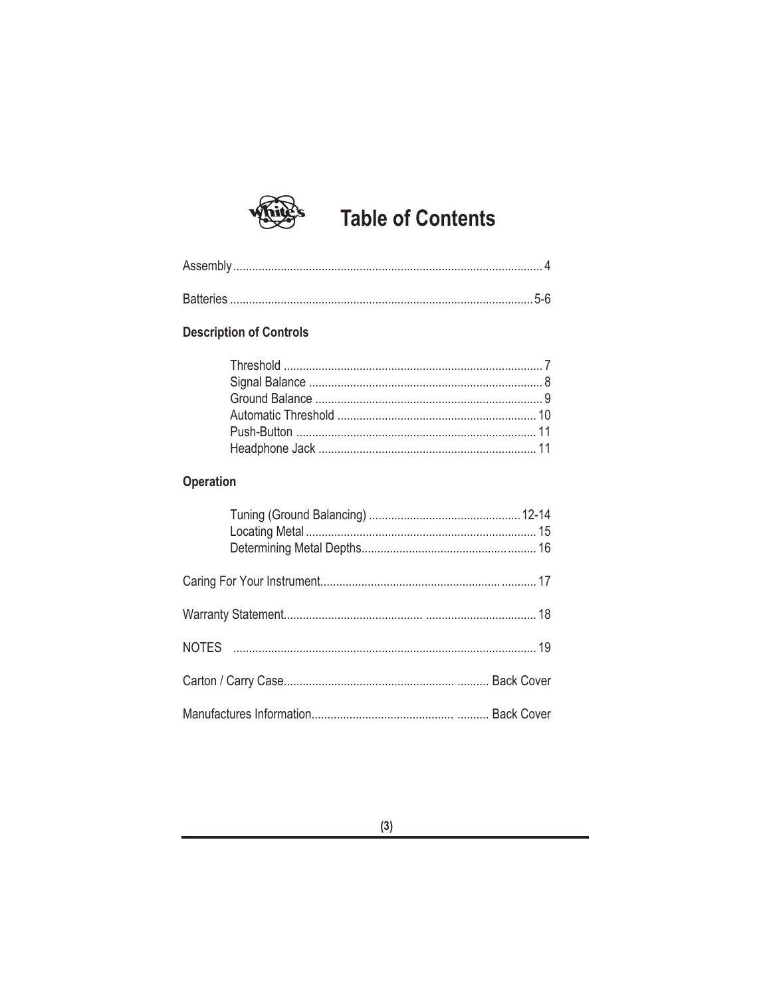# **Table of Contents**

#### **Description of Controls**

### Operation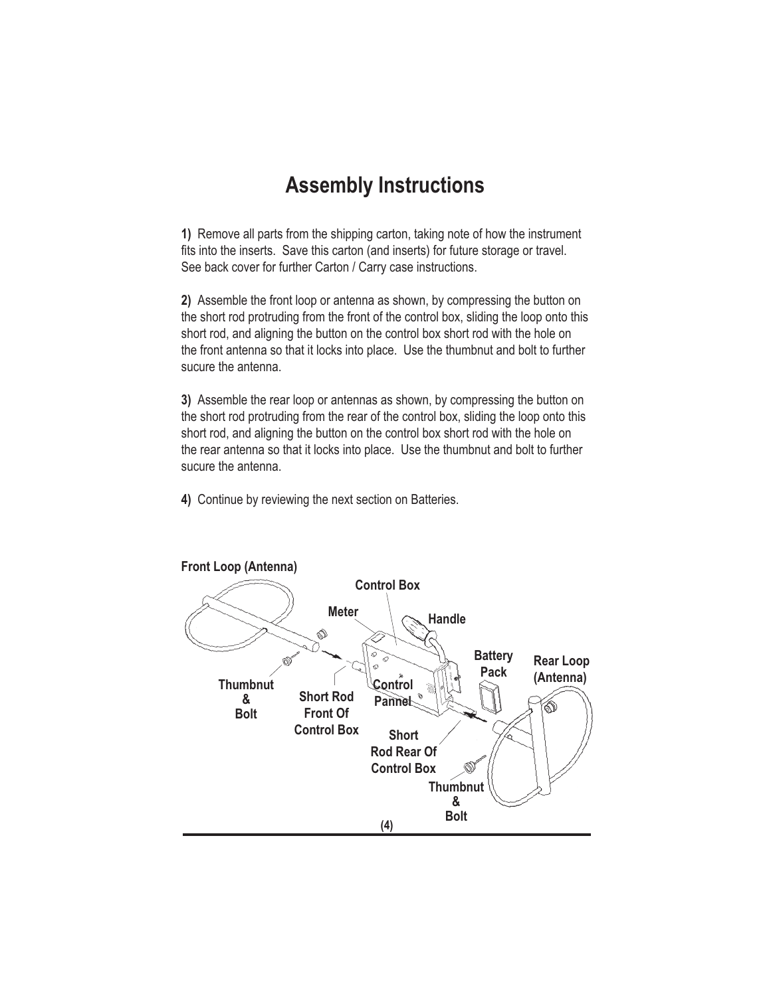### **Assembly Instructions**

**1)** Remove all parts from the shipping carton, taking note of how the instrument fits into the inserts. Save this carton (and inserts) for future storage or travel. See back cover for further Carton / Carry case instructions.

**2)** Assemble the front loop or antenna as shown, by compressing the button on the short rod protruding from the front of the control box, sliding the loop onto this short rod, and aligning the button on the control box short rod with the hole on the front antenna so that it locks into place. Use the thumbnut and bolt to further sucure the antenna.

**3)** Assemble the rear loop or antennas as shown, by compressing the button on the short rod protruding from the rear of the control box, sliding the loop onto this short rod, and aligning the button on the control box short rod with the hole on the rear antenna so that it locks into place. Use the thumbnut and bolt to further sucure the antenna.

**4)** Continue by reviewing the next section on Batteries.

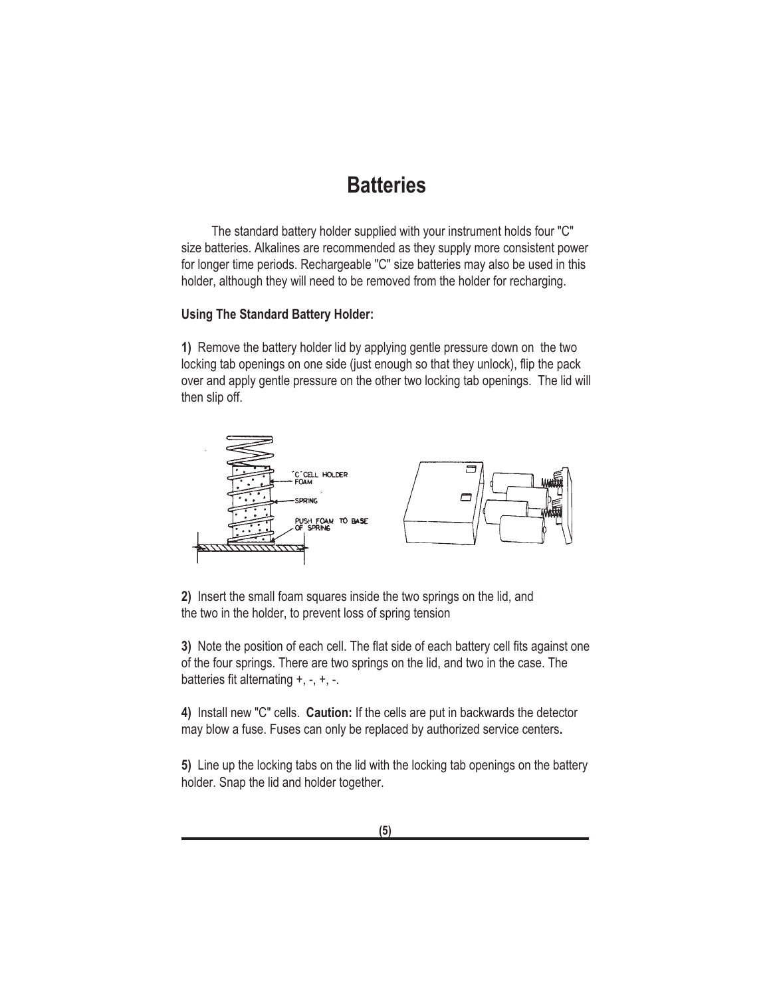### **Batteries**

The standard battery holder supplied with your instrument holds four "C" size batteries. Alkalines are recommended as they supply more consistent power for longer time periods. Rechargeable "C" size batteries may also be used in this holder, although they will need to be removed from the holder for recharging.

#### **Using The Standard Battery Holder:**

**1)** Remove the battery holder lid by applying gentle pressure down on the two locking tab openings on one side (just enough so that they unlock), flip the pack over and apply gentle pressure on the other two locking tab openings. The lid will then slip off.



**2)** Insert the small foam squares inside the two springs on the lid, and the two in the holder, to prevent loss of spring tension

**3)** Note the position of each cell. The flat side of each battery cell fits against one of the four springs. There are two springs on the lid, and two in the case. The batteries fit alternating +, -, +, -.

**4)** Install new "C" cells. **Caution:** If the cells are put in backwards the detector may blow a fuse. Fuses can only be replaced by authorized service centers**.**

**5)** Line up the locking tabs on the lid with the locking tab openings on the battery holder. Snap the lid and holder together.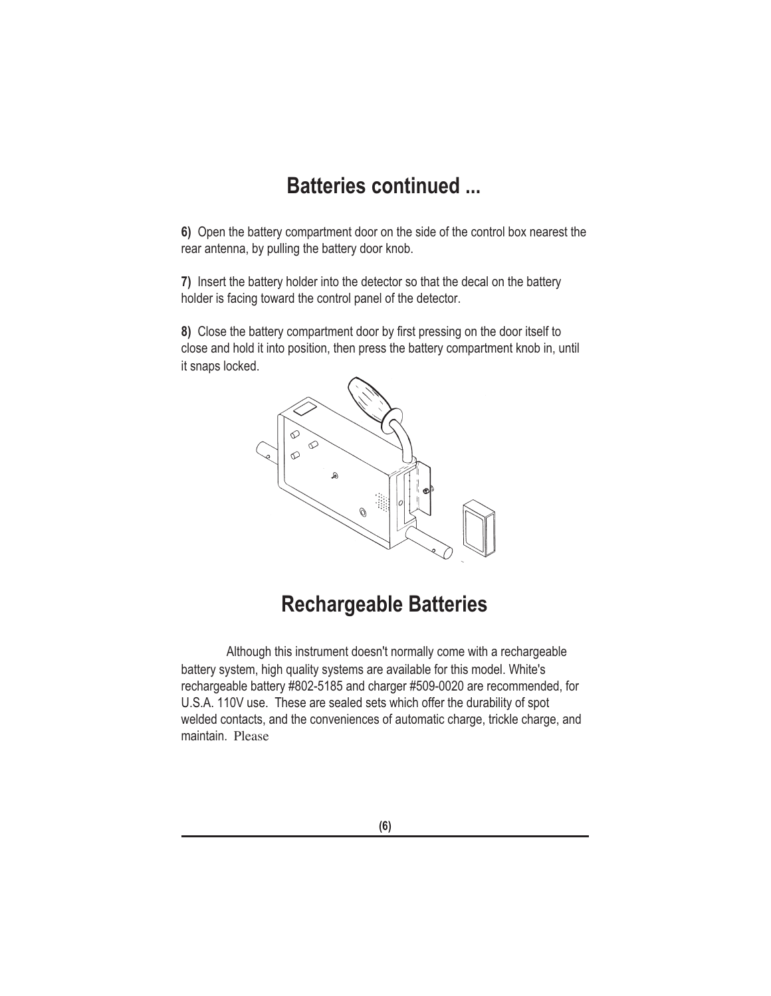# **Batteries continued ...**

**6)** Open the battery compartment door on the side of the control box nearest the rear antenna, by pulling the battery door knob.

**7)** Insert the battery holder into the detector so that the decal on the battery holder is facing toward the control panel of the detector.

**8)** Close the battery compartment door by first pressing on the door itself to close and hold it into position, then press the battery compartment knob in, until it snaps locked.



## **Rechargeable Batteries**

Although this instrument doesn't normally come with a rechargeable battery system, high quality systems are available for this model. White's rechargeable battery #802-5185 and charger #509-0020 are recommended, for U.S.A. 110V use. These are sealed sets which offer the durability of spot welded contacts, and the conveniences of automatic charge, trickle charge, and maintain. Please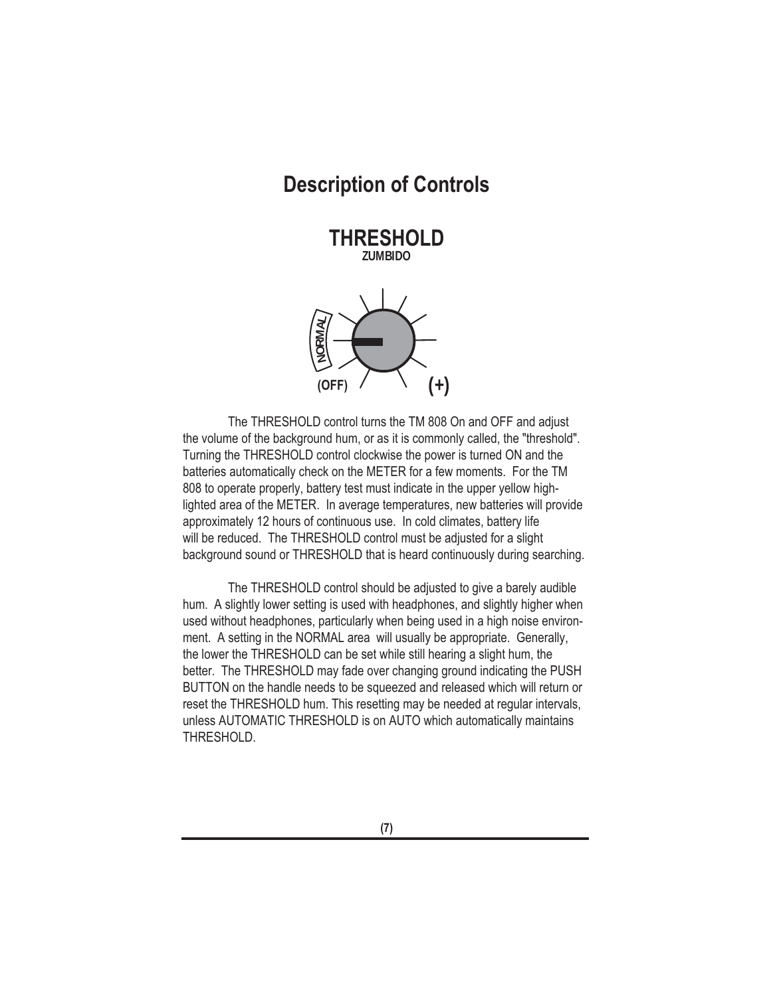### **Description of Controls**

**THRESHOLD THRESHOLDZUMBIDO**



The THRESHOLD control turns the TM 808 On and OFF and adjust the volume of the background hum, or as it is commonly called, the "threshold". Turning the THRESHOLD control clockwise the power is turned ON and the batteries automatically check on the METER for a few moments. For the TM 808 to operate properly, battery test must indicate in the upper yellow highlighted area of the METER. In average temperatures, new batteries will provide approximately 12 hours of continuous use. In cold climates, battery life will be reduced. The THRESHOLD control must be adjusted for a slight background sound or THRESHOLD that is heard continuously during searching.

The THRESHOLD control should be adjusted to give a barely audible hum. A slightly lower setting is used with headphones, and slightly higher when used without headphones, particularly when being used in a high noise environment. A setting in the NORMAL area will usually be appropriate. Generally, the lower the THRESHOLD can be set while still hearing a slight hum, the better. The THRESHOLD may fade over changing ground indicating the PUSH BUTTON on the handle needs to be squeezed and released which will return or reset the THRESHOLD hum. This resetting may be needed at regular intervals, unless AUTOMATIC THRESHOLD is on AUTO which automatically maintains THRESHOLD.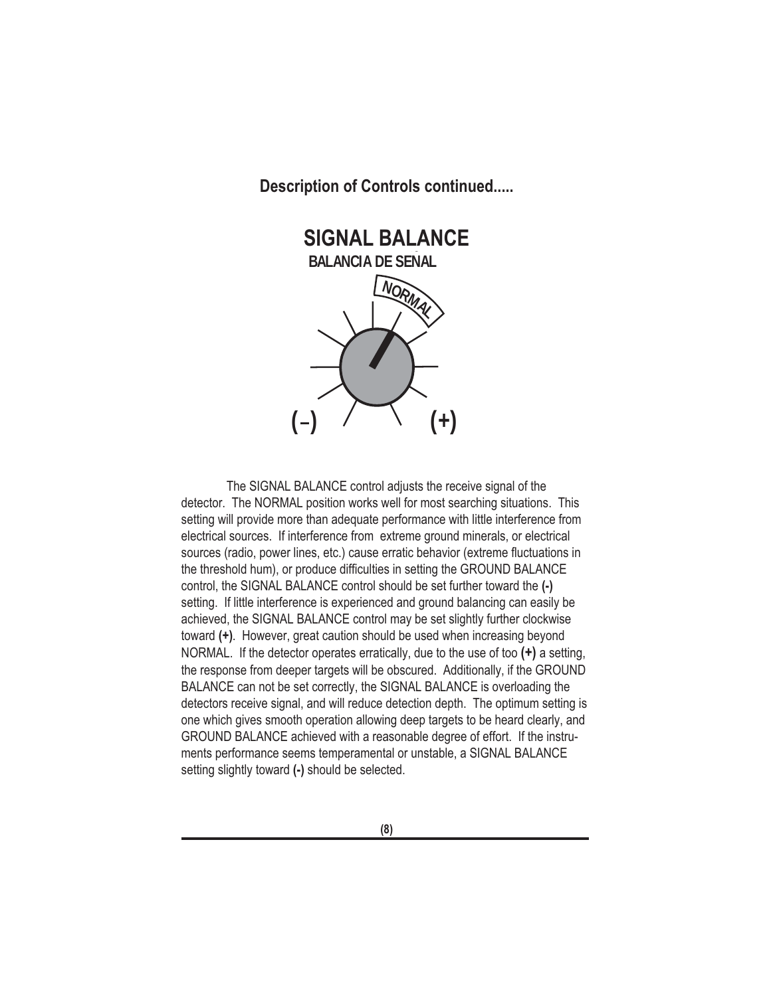

The SIGNAL BALANCE control adjusts the receive signal of the detector. The NORMAL position works well for most searching situations. This setting will provide more than adequate performance with little interference from electrical sources. If interference from extreme ground minerals, or electrical sources (radio, power lines, etc.) cause erratic behavior (extreme fluctuations in the threshold hum), or produce difficulties in setting the GROUND BALANCE control, the SIGNAL BALANCE control should be set further toward the **(-)** setting. If little interference is experienced and ground balancing can easily be achieved, the SIGNAL BALANCE control may be set slightly further clockwise toward **(+)**. However, great caution should be used when increasing beyond NORMAL. If the detector operates erratically, due to the use of too **(+)** a setting, the response from deeper targets will be obscured. Additionally, if the GROUND BALANCE can not be set correctly, the SIGNAL BALANCE is overloading the detectors receive signal, and will reduce detection depth. The optimum setting is one which gives smooth operation allowing deep targets to be heard clearly, and GROUND BALANCE achieved with a reasonable degree of effort. If the instruments performance seems temperamental or unstable, a SIGNAL BALANCE setting slightly toward **(-)** should be selected.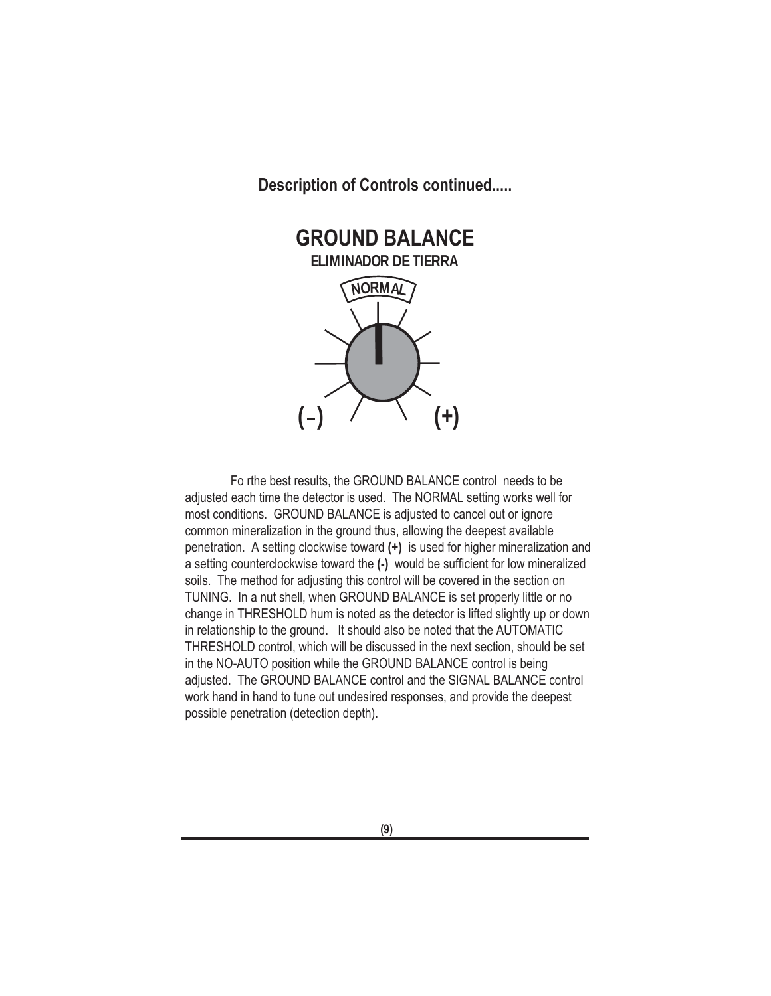

Fo rthe best results, the GROUND BALANCE control needs to be adjusted each time the detector is used. The NORMAL setting works well for most conditions. GROUND BALANCE is adjusted to cancel out or ignore common mineralization in the ground thus, allowing the deepest available penetration. A setting clockwise toward **(+)** is used for higher mineralization and a setting counterclockwise toward the **(-)** would be sufficient for low mineralized soils. The method for adjusting this control will be covered in the section on TUNING. In a nut shell, when GROUND BALANCE is set properly little or no change in THRESHOLD hum is noted as the detector is lifted slightly up or down in relationship to the ground. It should also be noted that the AUTOMATIC THRESHOLD control, which will be discussed in the next section, should be set in the NO-AUTO position while the GROUND BALANCE control is being adjusted. The GROUND BALANCE control and the SIGNAL BALANCE control work hand in hand to tune out undesired responses, and provide the deepest possible penetration (detection depth).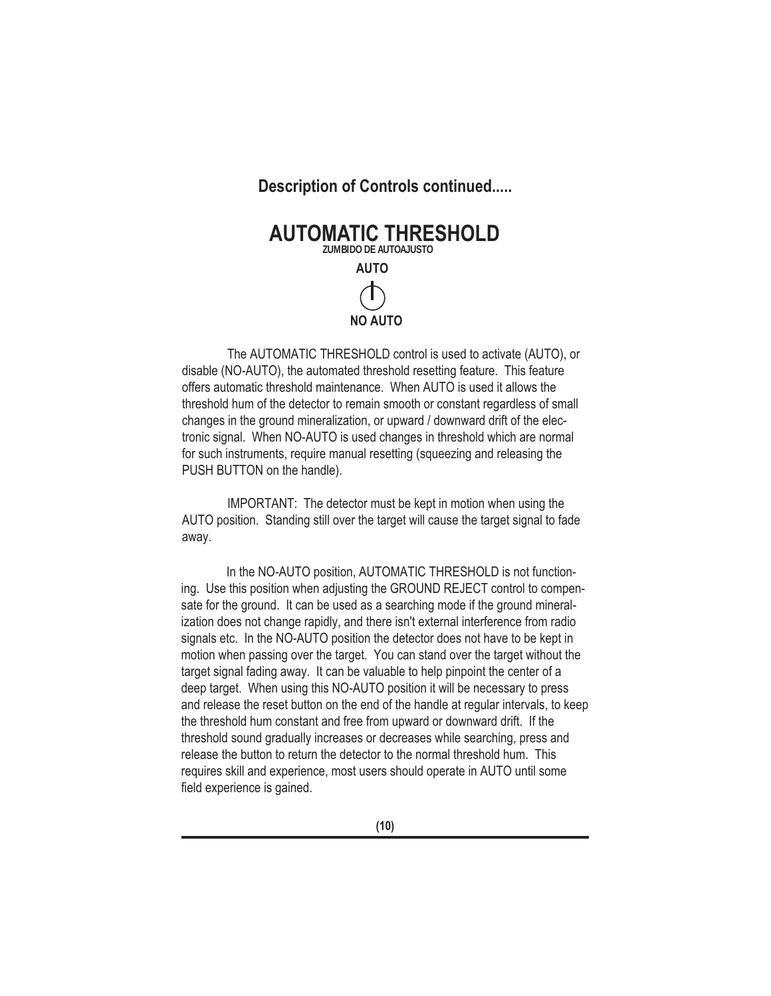

The AUTOMATIC THRESHOLD control is used to activate (AUTO), or disable (NO-AUTO), the automated threshold resetting feature. This feature offers automatic threshold maintenance. When AUTO is used it allows the threshold hum of the detector to remain smooth or constant regardless of small changes in the ground mineralization, or upward / downward drift of the electronic signal. When NO-AUTO is used changes in threshold which are normal for such instruments, require manual resetting (squeezing and releasing the PUSH BUTTON on the handle).

IMPORTANT: The detector must be kept in motion when using the AUTO position. Standing still over the target will cause the target signal to fade away.

In the NO-AUTO position, AUTOMATIC THRESHOLD is not functioning. Use this position when adjusting the GROUND REJECT control to compensate for the ground. It can be used as a searching mode if the ground mineralization does not change rapidly, and there isn't external interference from radio signals etc. In the NO-AUTO position the detector does not have to be kept in motion when passing over the target. You can stand over the target without the target signal fading away. It can be valuable to help pinpoint the center of a deep target. When using this NO-AUTO position it will be necessary to press and release the reset button on the end of the handle at regular intervals, to keep the threshold hum constant and free from upward or downward drift. If the threshold sound gradually increases or decreases while searching, press and release the button to return the detector to the normal threshold hum. This requires skill and experience, most users should operate in AUTO until some field experience is gained.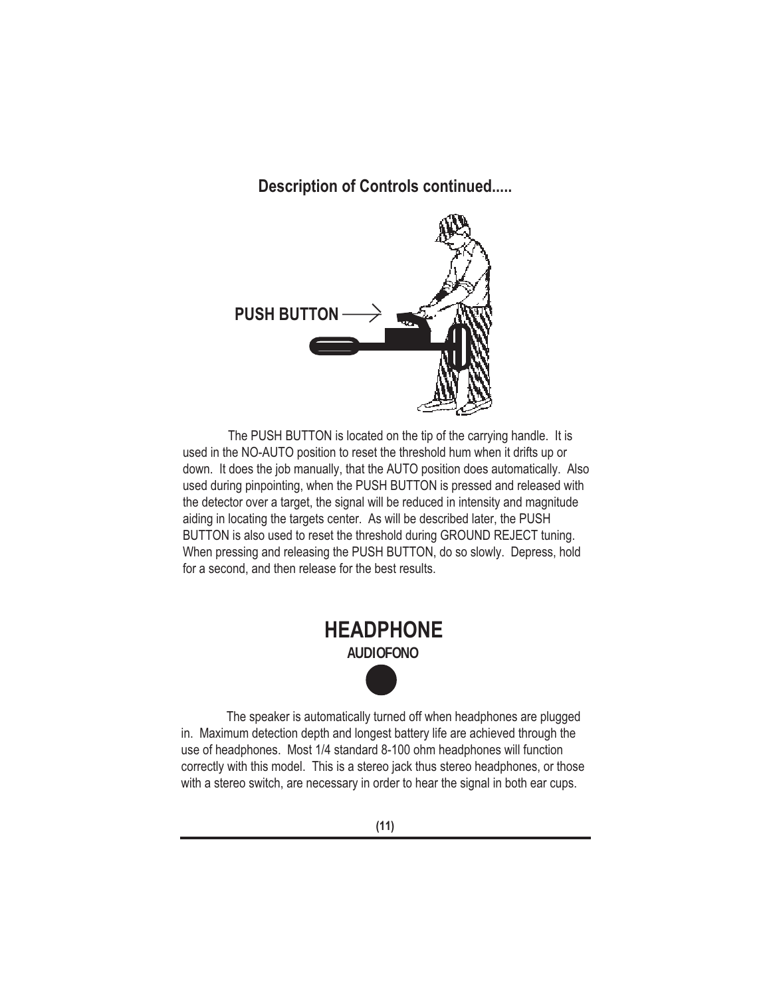

The PUSH BUTTON is located on the tip of the carrying handle. It is used in the NO-AUTO position to reset the threshold hum when it drifts up or down. It does the job manually, that the AUTO position does automatically. Also used during pinpointing, when the PUSH BUTTON is pressed and released with the detector over a target, the signal will be reduced in intensity and magnitude aiding in locating the targets center. As will be described later, the PUSH BUTTON is also used to reset the threshold during GROUND REJECT tuning. When pressing and releasing the PUSH BUTTON, do so slowly. Depress, hold for a second, and then release for the best results.



The speaker is automatically turned off when headphones are plugged in. Maximum detection depth and longest battery life are achieved through the use of headphones. Most 1/4 standard 8-100 ohm headphones will function correctly with this model. This is a stereo jack thus stereo headphones, or those with a stereo switch, are necessary in order to hear the signal in both ear cups.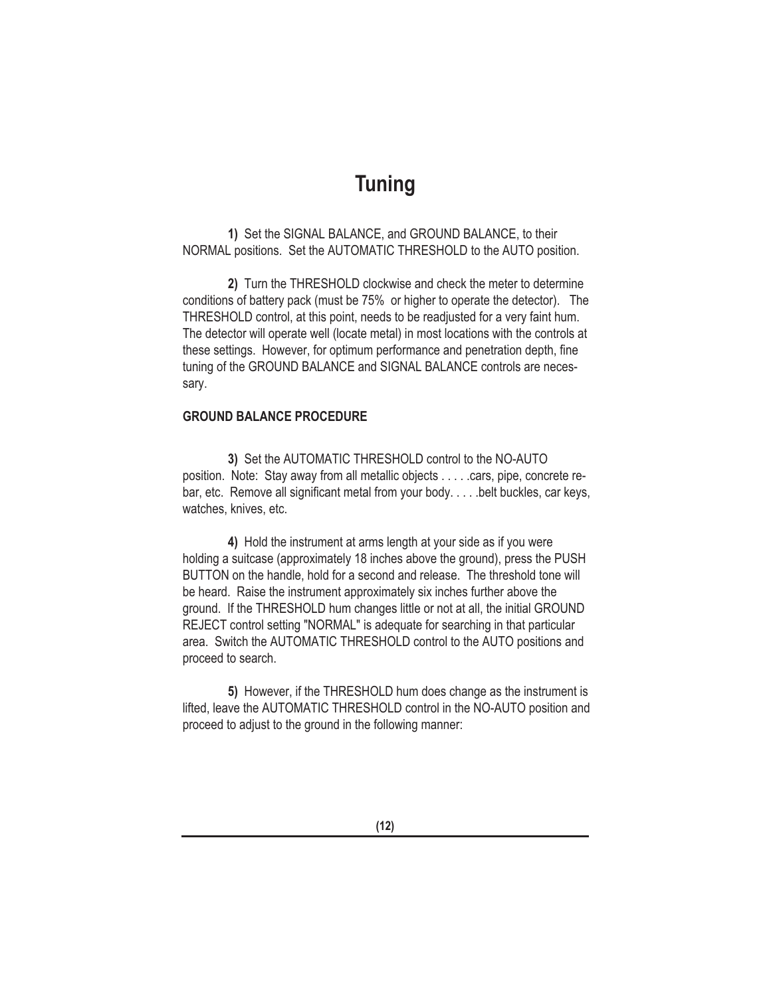### **Tuning**

**1)** Set the SIGNAL BALANCE, and GROUND BALANCE, to their NORMAL positions. Set the AUTOMATIC THRESHOLD to the AUTO position.

**2)** Turn the THRESHOLD clockwise and check the meter to determine conditions of battery pack (must be 75% or higher to operate the detector). The THRESHOLD control, at this point, needs to be readjusted for a very faint hum. The detector will operate well (locate metal) in most locations with the controls at these settings. However, for optimum performance and penetration depth, fine tuning of the GROUND BALANCE and SIGNAL BALANCE controls are necessary.

#### **GROUND BALANCE PROCEDURE**

**3)** Set the AUTOMATIC THRESHOLD control to the NO-AUTO position. Note: Stay away from all metallic objects . . . . .cars, pipe, concrete rebar, etc. Remove all significant metal from your body. . . . . belt buckles, car keys, watches, knives, etc.

**4)** Hold the instrument at arms length at your side as if you were holding a suitcase (approximately 18 inches above the ground), press the PUSH BUTTON on the handle, hold for a second and release. The threshold tone will be heard. Raise the instrument approximately six inches further above the ground. If the THRESHOLD hum changes little or not at all, the initial GROUND REJECT control setting "NORMAL" is adequate for searching in that particular area. Switch the AUTOMATIC THRESHOLD control to the AUTO positions and proceed to search.

**5)** However, if the THRESHOLD hum does change as the instrument is lifted, leave the AUTOMATIC THRESHOLD control in the NO-AUTO position and proceed to adjust to the ground in the following manner: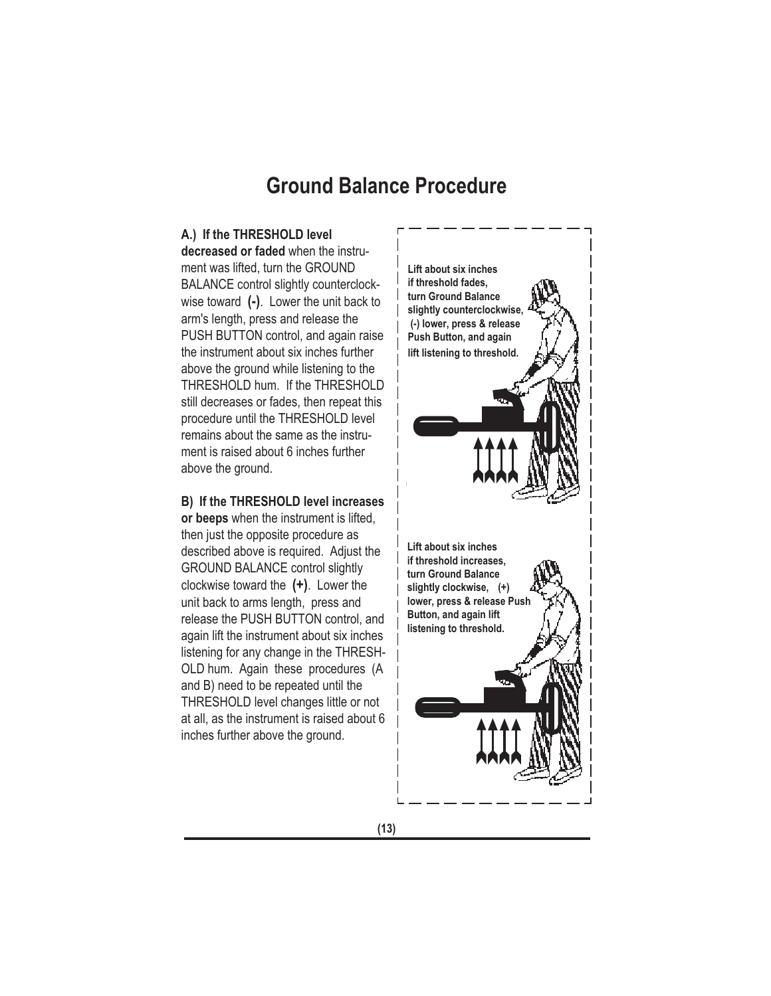### **Ground Balance Procedure**

#### **A.) If the THRESHOLD level**

**decreased or faded** when the instrument was lifted, turn the GROUND BALANCE control slightly counterclockwise toward **(-)**. Lower the unit back to arm's length, press and release the PUSH BUTTON control, and again raise the instrument about six inches further above the ground while listening to the THRESHOLD hum. If the THRESHOLD still decreases or fades, then repeat this procedure until the THRESHOLD level remains about the same as the instrument is raised about 6 inches further above the ground.

#### **B) If the THRESHOLD level increases or beeps** when the instrument is lifted,

then just the opposite procedure as described above is required. Adjust the GROUND BALANCE control slightly clockwise toward the **(+)**. Lower the unit back to arms length, press and release the PUSH BUTTON control, and again lift the instrument about six inches listening for any change in the THRESH-OLD hum. Again these procedures (A and B) need to be repeated until the THRESHOLD level changes little or not at all, as the instrument is raised about 6 inches further above the ground.

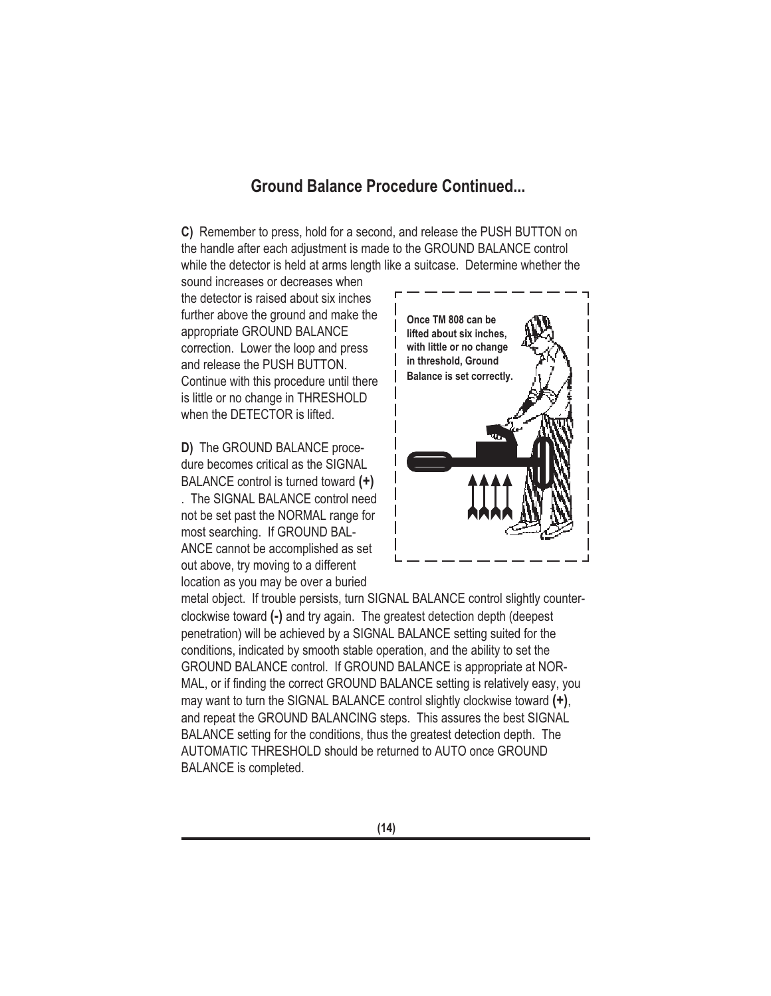#### **Ground Balance Procedure Continued...**

**C)** Remember to press, hold for a second, and release the PUSH BUTTON on the handle after each adjustment is made to the GROUND BALANCE control while the detector is held at arms length like a suitcase. Determine whether the

sound increases or decreases when the detector is raised about six inches further above the ground and make the appropriate GROUND BALANCE correction. Lower the loop and press and release the PUSH BUTTON. Continue with this procedure until there is little or no change in THRESHOLD when the DETECTOR is lifted.

**D)** The GROUND BALANCE procedure becomes critical as the SIGNAL BALANCE control is turned toward **(+)**

. The SIGNAL BALANCE control need not be set past the NORMAL range for most searching. If GROUND BAL-ANCE cannot be accomplished as set out above, try moving to a different location as you may be over a buried



metal object. If trouble persists, turn SIGNAL BALANCE control slightly counterclockwise toward **(-)** and try again. The greatest detection depth (deepest penetration) will be achieved by a SIGNAL BALANCE setting suited for the conditions, indicated by smooth stable operation, and the ability to set the GROUND BALANCE control. If GROUND BALANCE is appropriate at NOR-MAL, or if finding the correct GROUND BALANCE setting is relatively easy, you may want to turn the SIGNAL BALANCE control slightly clockwise toward **(+)**, and repeat the GROUND BALANCING steps. This assures the best SIGNAL BALANCE setting for the conditions, thus the greatest detection depth. The AUTOMATIC THRESHOLD should be returned to AUTO once GROUND BALANCE is completed.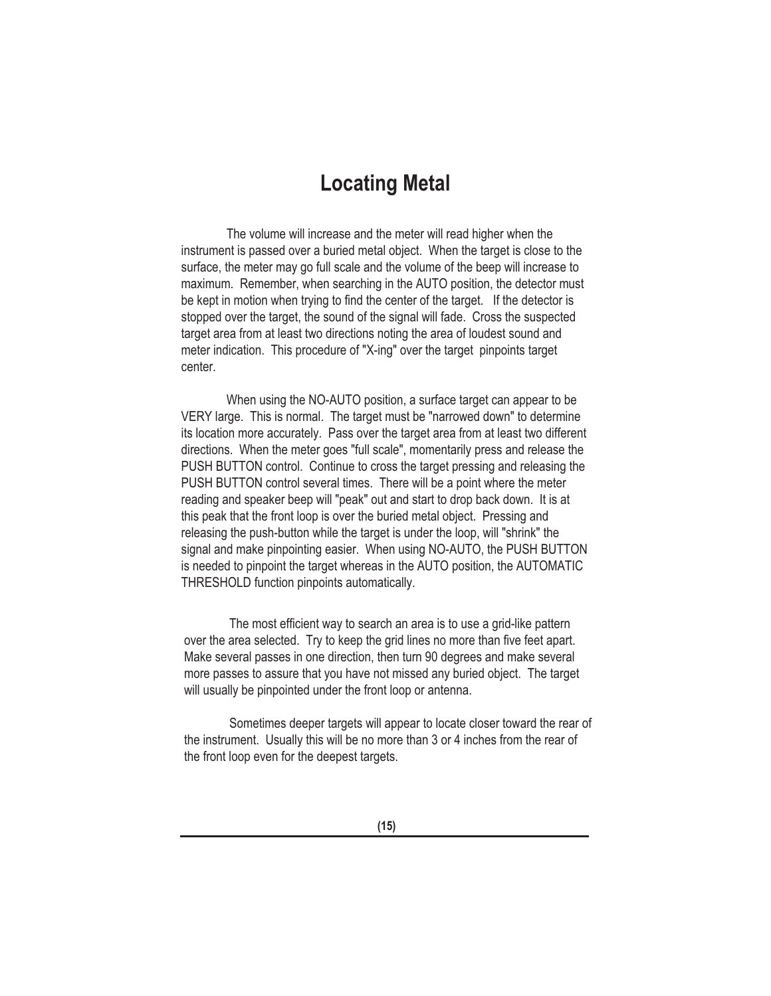### **Locating Metal**

The volume will increase and the meter will read higher when the instrument is passed over a buried metal object. When the target is close to the surface, the meter may go full scale and the volume of the beep will increase to maximum. Remember, when searching in the AUTO position, the detector must be kept in motion when trying to find the center of the target. If the detector is stopped over the target, the sound of the signal will fade. Cross the suspected target area from at least two directions noting the area of loudest sound and meter indication. This procedure of "X-ing" over the target pinpoints target center.

When using the NO-AUTO position, a surface target can appear to be VERY large. This is normal. The target must be "narrowed down" to determine its location more accurately. Pass over the target area from at least two different directions. When the meter goes "full scale", momentarily press and release the PUSH BUTTON control. Continue to cross the target pressing and releasing the PUSH BUTTON control several times. There will be a point where the meter reading and speaker beep will "peak" out and start to drop back down. It is at this peak that the front loop is over the buried metal object. Pressing and releasing the push-button while the target is under the loop, will "shrink" the signal and make pinpointing easier. When using NO-AUTO, the PUSH BUTTON is needed to pinpoint the target whereas in the AUTO position, the AUTOMATIC THRESHOLD function pinpoints automatically.

The most efficient way to search an area is to use a grid-like pattern over the area selected. Try to keep the grid lines no more than five feet apart. Make several passes in one direction, then turn 90 degrees and make several more passes to assure that you have not missed any buried object. The target will usually be pinpointed under the front loop or antenna.

Sometimes deeper targets will appear to locate closer toward the rear of the instrument. Usually this will be no more than 3 or 4 inches from the rear of the front loop even for the deepest targets.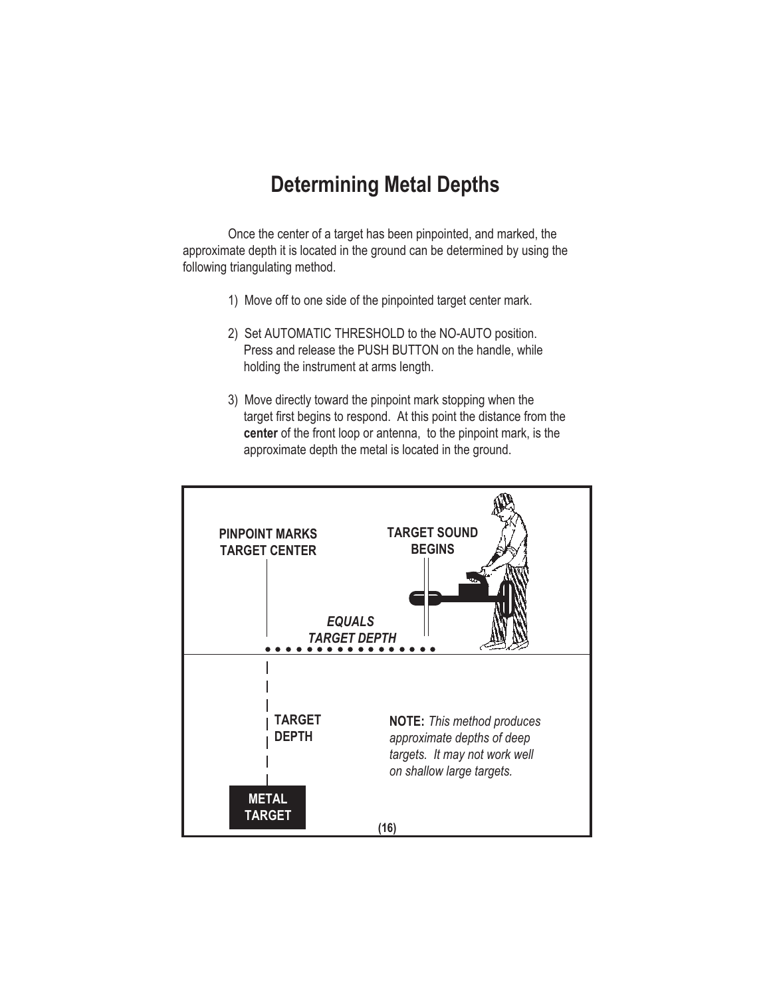### **Determining Metal Depths**

Once the center of a target has been pinpointed, and marked, the approximate depth it is located in the ground can be determined by using the following triangulating method.

- 1) Move off to one side of the pinpointed target center mark.
- 2) Set AUTOMATIC THRESHOLD to the NO-AUTO position. Press and release the PUSH BUTTON on the handle, while holding the instrument at arms length.
- 3) Move directly toward the pinpoint mark stopping when the target first begins to respond. At this point the distance from the **center** of the front loop or antenna, to the pinpoint mark, is the approximate depth the metal is located in the ground.

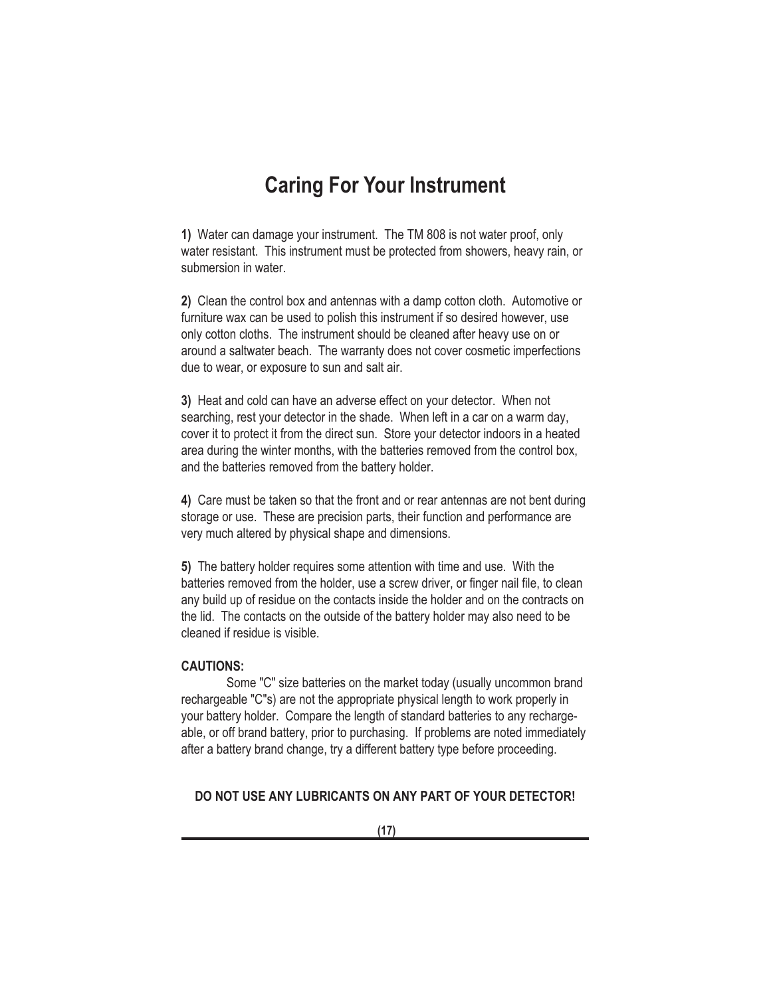### **Caring For Your Instrument**

**1)** Water can damage your instrument. The TM 808 is not water proof, only water resistant. This instrument must be protected from showers, heavy rain, or submersion in water.

**2)** Clean the control box and antennas with a damp cotton cloth. Automotive or furniture wax can be used to polish this instrument if so desired however, use only cotton cloths. The instrument should be cleaned after heavy use on or around a saltwater beach. The warranty does not cover cosmetic imperfections due to wear, or exposure to sun and salt air.

**3)** Heat and cold can have an adverse effect on your detector. When not searching, rest your detector in the shade. When left in a car on a warm day, cover it to protect it from the direct sun. Store your detector indoors in a heated area during the winter months, with the batteries removed from the control box, and the batteries removed from the battery holder.

**4)** Care must be taken so that the front and or rear antennas are not bent during storage or use. These are precision parts, their function and performance are very much altered by physical shape and dimensions.

**5)** The battery holder requires some attention with time and use. With the batteries removed from the holder, use a screw driver, or finger nail file, to clean any build up of residue on the contacts inside the holder and on the contracts on the lid. The contacts on the outside of the battery holder may also need to be cleaned if residue is visible.

#### **CAUTIONS:**

Some "C" size batteries on the market today (usually uncommon brand rechargeable "C"s) are not the appropriate physical length to work properly in your battery holder. Compare the length of standard batteries to any rechargeable, or off brand battery, prior to purchasing. If problems are noted immediately after a battery brand change, try a different battery type before proceeding.

#### **DO NOT USE ANY LUBRICANTS ON ANY PART OF YOUR DETECTOR!**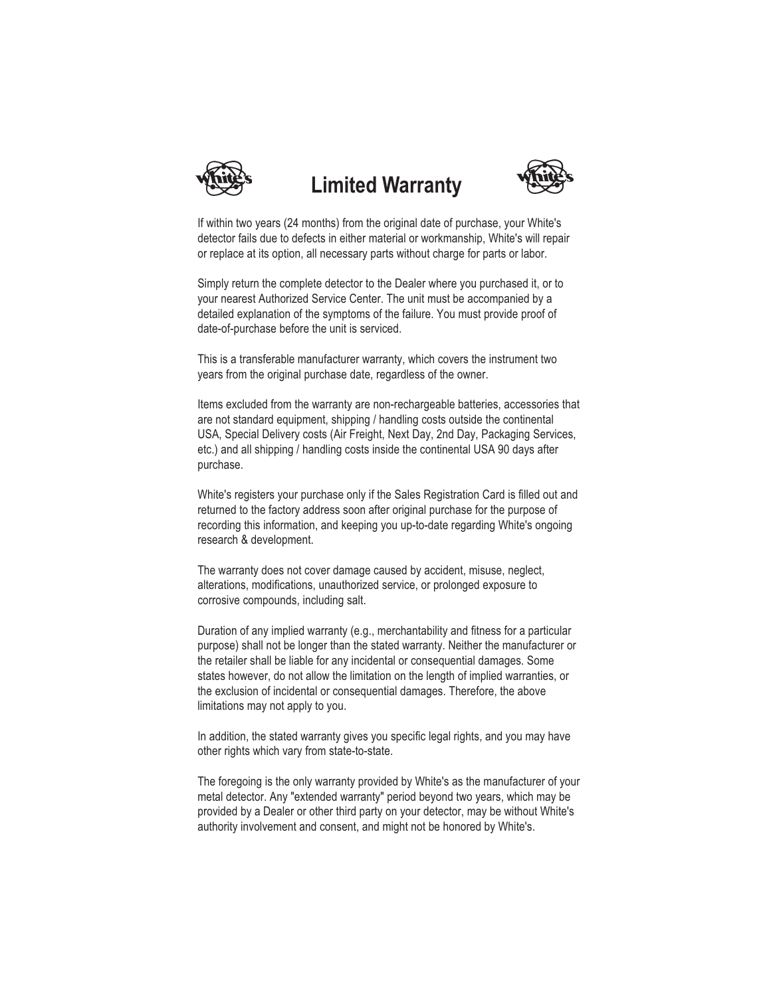

# **Limited Warranty**



If within two years (24 months) from the original date of purchase, your White's detector fails due to defects in either material or workmanship, White's will repair or replace at its option, all necessary parts without charge for parts or labor.

Simply return the complete detector to the Dealer where you purchased it, or to your nearest Authorized Service Center. The unit must be accompanied by a detailed explanation of the symptoms of the failure. You must provide proof of date-of-purchase before the unit is serviced.

This is a transferable manufacturer warranty, which covers the instrument two years from the original purchase date, regardless of the owner.

Items excluded from the warranty are non-rechargeable batteries, accessories that are not standard equipment, shipping / handling costs outside the continental USA, Special Delivery costs (Air Freight, Next Day, 2nd Day, Packaging Services, etc.) and all shipping / handling costs inside the continental USA 90 days after purchase.

White's registers your purchase only if the Sales Registration Card is filled out and returned to the factory address soon after original purchase for the purpose of recording this information, and keeping you up-to-date regarding White's ongoing research & development.

The warranty does not cover damage caused by accident, misuse, neglect, alterations, modifications, unauthorized service, or prolonged exposure to corrosive compounds, including salt.

Duration of any implied warranty (e.g., merchantability and fitness for a particular purpose) shall not be longer than the stated warranty. Neither the manufacturer or the retailer shall be liable for any incidental or consequential damages. Some states however, do not allow the limitation on the length of implied warranties, or the exclusion of incidental or consequential damages. Therefore, the above limitations may not apply to you.

In addition, the stated warranty gives you specific legal rights, and you may have other rights which vary from state-to-state.

The foregoing is the only warranty provided by White's as the manufacturer of your metal detector. Any "extended warranty" period beyond two years, which may be provided by a Dealer or other third party on your detector, may be without White's authority involvement and consent, and might not be honored by White's.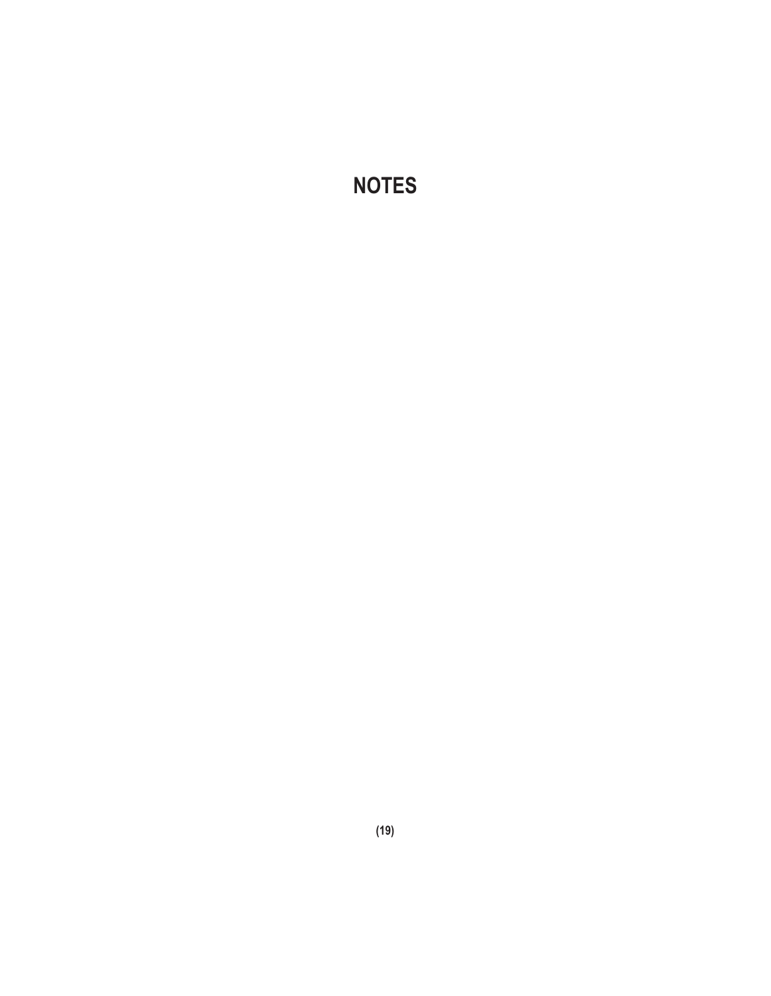**NOTES**